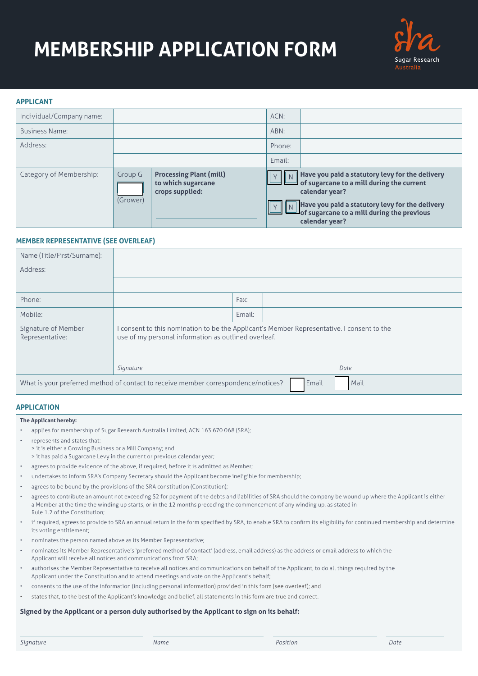# **MEMBERSHIP APPLICATION FORM**



### **APPLICANT**

| Individual/Company name: |                     |                                                                         | ACN:   |                                                                                                                                                                                                                                                      |
|--------------------------|---------------------|-------------------------------------------------------------------------|--------|------------------------------------------------------------------------------------------------------------------------------------------------------------------------------------------------------------------------------------------------------|
| <b>Business Name:</b>    |                     |                                                                         | ABN:   |                                                                                                                                                                                                                                                      |
| Address:                 |                     |                                                                         | Phone: |                                                                                                                                                                                                                                                      |
|                          |                     |                                                                         | Email: |                                                                                                                                                                                                                                                      |
| Category of Membership:  | Group G<br>(Grower) | <b>Processing Plant (mill)</b><br>to which sugarcane<br>crops supplied: |        | $\boxed{N}$ Have you paid a statutory levy for the delivery<br>of sugarcane to a mill during the current<br>calendar year?<br>Have you paid a statutory levy for the delivery<br>$\Box$ of sugarcane to a mill during the previous<br>calendar year? |

# **MEMBER REPRESENTATIVE (SEE OVERLEAF)**

| Name (Title/First/Surname):                                                                         |                                                                                                                                                    |        |  |      |
|-----------------------------------------------------------------------------------------------------|----------------------------------------------------------------------------------------------------------------------------------------------------|--------|--|------|
| Address:                                                                                            |                                                                                                                                                    |        |  |      |
|                                                                                                     |                                                                                                                                                    |        |  |      |
| Phone:                                                                                              |                                                                                                                                                    | Fax:   |  |      |
| Mobile:                                                                                             |                                                                                                                                                    | Email: |  |      |
| Signature of Member<br>Representative:                                                              | I consent to this nomination to be the Applicant's Member Representative. I consent to the<br>use of my personal information as outlined overleaf. |        |  |      |
|                                                                                                     | Signature                                                                                                                                          |        |  | Date |
| What is your preferred method of contact to receive member correspondence/notices?<br>Email<br>Mail |                                                                                                                                                    |        |  |      |

# **APPLICATION**

**The Applicant hereby:**

- applies for membership of Sugar Research Australia Limited, ACN 163 670 068 (SRA);
- represents and states that:
	- > it is either a Growing Business or a Mill Company; and
	- > it has paid a Sugarcane Levy in the current or previous calendar year;
- agrees to provide evidence of the above, if required, before it is admitted as Member;
- undertakes to inform SRA's Company Secretary should the Applicant become ineligible for membership;
- agrees to be bound by the provisions of the SRA constitution (Constitution);
- agrees to contribute an amount not exceeding \$2 for payment of the debts and liabilities of SRA should the company be wound up where the Applicant is either a Member at the time the winding up starts, or in the 12 months preceding the commencement of any winding up, as stated in Rule 1.2 of the Constitution;
- if required, agrees to provide to SRA an annual return in the form specified by SRA, to enable SRA to confirm its eligibility for continued membership and determine its voting entitlement;
- nominates the person named above as its Member Representative;
- nominates its Member Representative's 'preferred method of contact' (address, email address) as the address or email address to which the Applicant will receive all notices and communications from SRA;
- authorises the Member Representative to receive all notices and communications on behalf of the Applicant, to do all things required by the Applicant under the Constitution and to attend meetings and vote on the Applicant's behalf;
- consents to the use of the information (including personal information) provided in this form (see overleaf); and
- states that, to the best of the Applicant's knowledge and belief, all statements in this form are true and correct.

#### **Signed by the Applicant or a person duly authorised by the Applicant to sign on its behalf:**